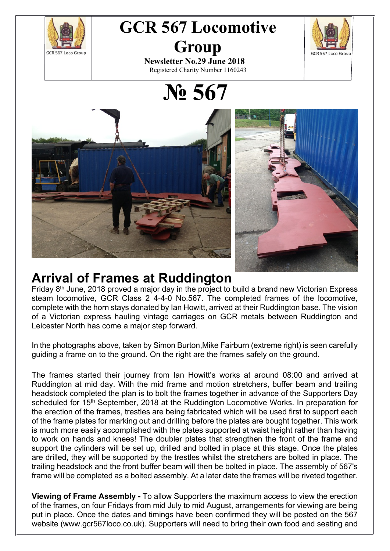

# **GCR 567 Locomotive Group**



**Newsletter No.29 June 2018** Registered Charity Number 1160243

**№ 567**



#### **Arrival of Frames at Ruddington**

Friday 8<sup>th</sup> June, 2018 proved a major day in the project to build a brand new Victorian Express steam locomotive, GCR Class 2 4-4-0 No.567. The completed frames of the locomotive, complete with the horn stays donated by Ian Howitt, arrived at their Ruddington base. The vision of a Victorian express hauling vintage carriages on GCR metals between Ruddington and Leicester North has come a major step forward.

In the photographs above, taken by Simon Burton,Mike Fairburn (extreme right) is seen carefully guiding a frame on to the ground. On the right are the frames safely on the ground.

The frames started their journey from Ian Howitt's works at around 08:00 and arrived at Ruddington at mid day. With the mid frame and motion stretchers, buffer beam and trailing headstock completed the plan is to bolt the frames together in advance of the Supporters Day scheduled for 15<sup>th</sup> September, 2018 at the Ruddington Locomotive Works. In preparation for the erection of the frames, trestles are being fabricated which will be used first to support each of the frame plates for marking out and drilling before the plates are bought together. This work is much more easily accomplished with the plates supported at waist height rather than having to work on hands and knees! The doubler plates that strengthen the front of the frame and support the cylinders will be set up, drilled and bolted in place at this stage. Once the plates are drilled, they will be supported by the trestles whilst the stretchers are bolted in place. The trailing headstock and the front buffer beam will then be bolted in place. The assembly of 567's frame will be completed as a bolted assembly. At a later date the frames will be riveted together.

**Viewing of Frame Assembly -** To allow Supporters the maximum access to view the erection of the frames, on four Fridays from mid July to mid August, arrangements for viewing are being put in place. Once the dates and timings have been confirmed they will be posted on the 567 website (www.gcr567loco.co.uk). Supporters will need to bring their own food and seating and